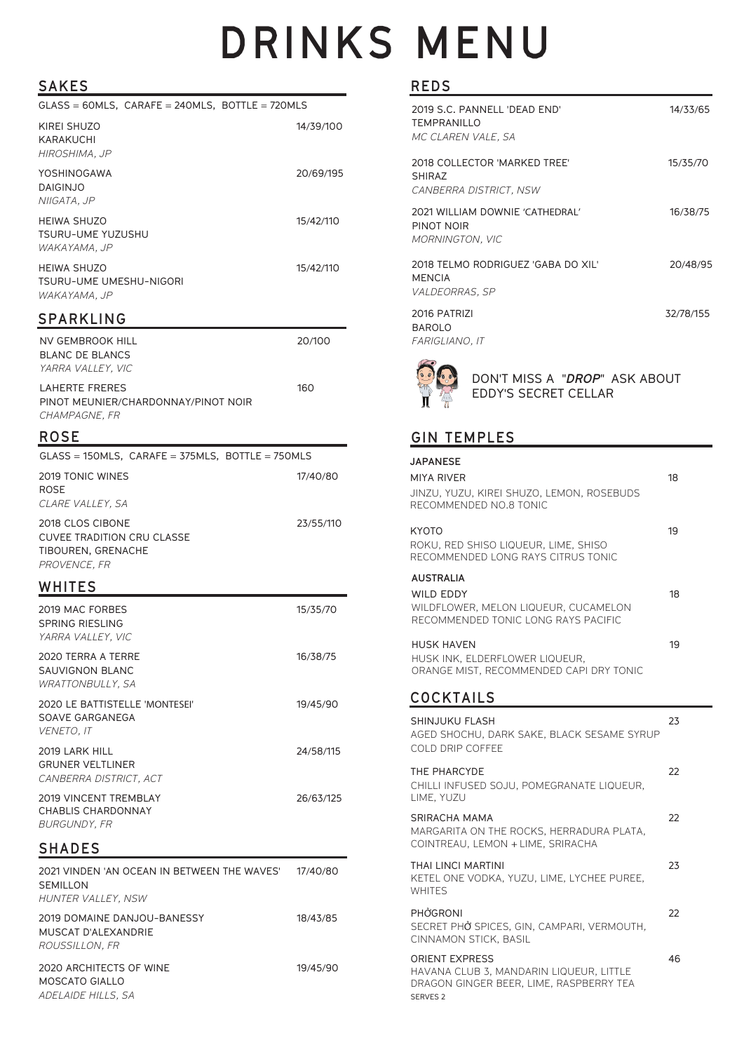# **DRINKS MENU**

## **SAKES**

| .                                                                                    |           |
|--------------------------------------------------------------------------------------|-----------|
| $GLASS = 60MLS$ , $CARAFE = 240MLS$ , BOTTLE = 720MLS                                |           |
| <b>KIREI SHUZO</b><br>KARAKUCHI<br>HIROSHIMA, JP                                     | 14/39/100 |
| YOSHINOGAWA<br><b>DAIGINJO</b><br>NIIGATA, JP                                        | 20/69/195 |
| <b>HEIWA SHUZO</b><br>TSURU-UME YUZUSHU<br>WAKAYAMA, JP                              | 15/42/110 |
| HEIWA SHUZO<br>TSURU-UME UMESHU-NIGORI<br>WAKAYAMA, JP                               | 15/42/110 |
| <b>SPARKLING</b>                                                                     |           |
| NV GEMBROOK HILL<br>BLANC DE BLANCS<br>YARRA VALLEY, VIC                             | 20/100    |
| LAHERTE FRERES<br>PINOT MEUNIER/CHARDONNAY/PINOT NOIR<br>CHAMPAGNE, FR               | 160       |
| <b>ROSE</b>                                                                          |           |
| GLASS = 150MLS, CARAFE = 375MLS, BOTTLE = 750MLS                                     |           |
| 2019 TONIC WINES<br>ROSE<br>CLARE VALLEY, SA                                         | 17/40/80  |
| 2018 CLOS CIBONE<br>CUVEE TRADITION CRU CLASSE<br>TIBOUREN, GRENACHE<br>PROVENCE, FR | 23/55/110 |
| WHITES                                                                               |           |
| 2019 MAC FORBES<br><b>SPRING RIESLING</b><br>YARRA VALLEY, VIC                       | 15/35/70  |
| 2020 TERRA A TERRE<br>SAUVIGNON BLANC<br>WRATTONBULLY, SA                            | 16/38/75  |
| 2020 LE BATTISTELLE 'MONTESEI'<br>SOAVE GARGANEGA<br>VENETO, IT                      | 19/45/90  |
| 2019 LARK HILL<br><b>GRUNER VELTLINER</b><br>CANBERRA DISTRICT. ACT                  | 24/58/115 |
| <b>2019 VINCENT TREMBLAY</b><br>CHABLIS CHARDONNAY<br>BURGUNDY, FR                   | 26/63/125 |
| <b>SHADES</b>                                                                        |           |
| 2021 VINDEN 'AN OCEAN IN BETWEEN THE WAVES'<br>SEMILLON<br>HUNTER VALLEY, NSW        | 17/40/80  |
| 2019 DOMAINE DANJOU-BANESSY<br>MUSCAT D'ALEXANDRIE<br><i>ROUSSILLON, FR</i>          | 18/43/85  |
| 2020 ARCHITECTS OF WINE<br>MOSCATO GIALLO<br>ADELAIDE HILLS, SA                      | 19/45/90  |

#### **REDS**

| 2019 S.C. PANNELL 'DEAD END'<br><b>TEMPRANILLO</b><br>MC CLAREN VALE, SA     | 14/33/65  |
|------------------------------------------------------------------------------|-----------|
| 2018 COLLECTOR 'MARKED TREE'<br>SHIRAZ<br>CANBERRA DISTRICT, NSW             | 15/35/70  |
| 2021 WILLIAM DOWNIE 'CATHEDRAL'<br>PINOT NOIR<br><b>MORNINGTON, VIC</b>      | 16/38/75  |
| 2018 TELMO RODRIGUEZ 'GABA DO XIL'<br><b>MENCIA</b><br><i>VALDEORRAS, SP</i> | 20/48/95  |
| 2016 PATRIZI<br><b>BAROLO</b><br><i>FARIGLIANO, IT</i>                       | 32/78/155 |
| DON'T MISS A <i>"<b>DROP</b>"</i> ASK ABOUT                                  |           |



## DON'T MISS A "*DROP*" ASK ABOUT EDDY'S SECRET CELLAR

## **GIN TEMPLES**

| <b>JAPANESE</b><br><b>MIYA RIVER</b><br>JINZU, YUZU, KIREI SHUZO, LEMON, ROSEBUDS<br>RECOMMENDED NO.8 TONIC         | 18 |
|---------------------------------------------------------------------------------------------------------------------|----|
| <b>KYOTO</b><br>ROKU, RED SHISO LIQUEUR, LIME, SHISO<br>RECOMMENDED LONG RAYS CITRUS TONIC                          | 19 |
| <b>AUSTRALIA</b><br><b>WILD EDDY</b><br>WILDFLOWER, MELON LIQUEUR, CUCAMELON<br>RECOMMENDED TONIC LONG RAYS PACIFIC | 18 |
| <b>HUSK HAVEN</b><br>HUSK INK, ELDERFLOWER LIQUEUR,<br>ORANGE MIST, RECOMMENDED CAPI DRY TONIC                      | 19 |
| <b>COCKTAILS</b>                                                                                                    |    |
| SHINJUKU FLASH<br>AGED SHOCHU, DARK SAKE, BLACK SESAME SYRUP<br>COLD DRIP COFFEE                                    | 23 |
| THE PHARCYDE<br>CHILLI INFUSED SOJU. POMEGRANATE LIQUEUR.<br>LIME, YUZU                                             | 22 |
| SRIRACHA MAMA<br>MARGARITA ON THE ROCKS. HERRADURA PLATA.<br>COINTREAU, LEMON + LIME, SRIRACHA                      | 22 |
| THAI LINCI MARTINI<br>KETEL ONE VODKA, YUZU, LIME, LYCHEE PUREE,<br><b>WHITES</b>                                   | 23 |
| PHỞGRONI<br>SECRET PHỞ SPICES, GIN, CAMPARI, VERMOUTH.<br>CINNAMON STICK, BASIL                                     | 22 |
| <b>ORIENT EXPRESS</b><br>HAVANA CLUB 3, MANDARIN LIQUEUR, LITTLE                                                    | 46 |